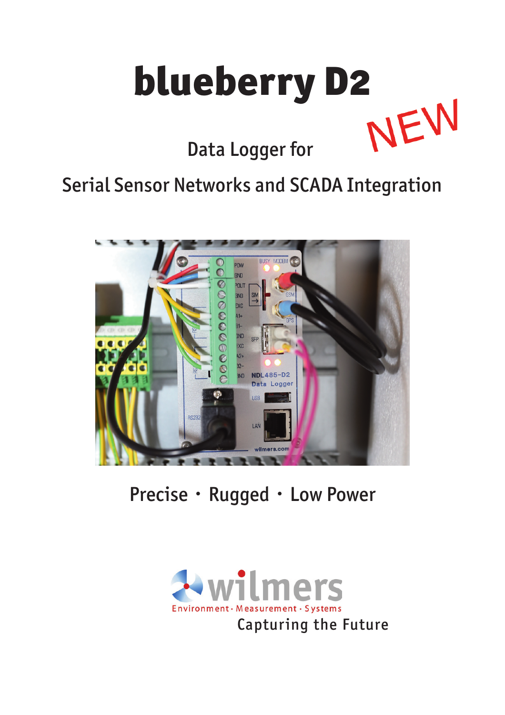

Serial Sensor Networks and SCADA Integration



Precise · Rugged · Low Power